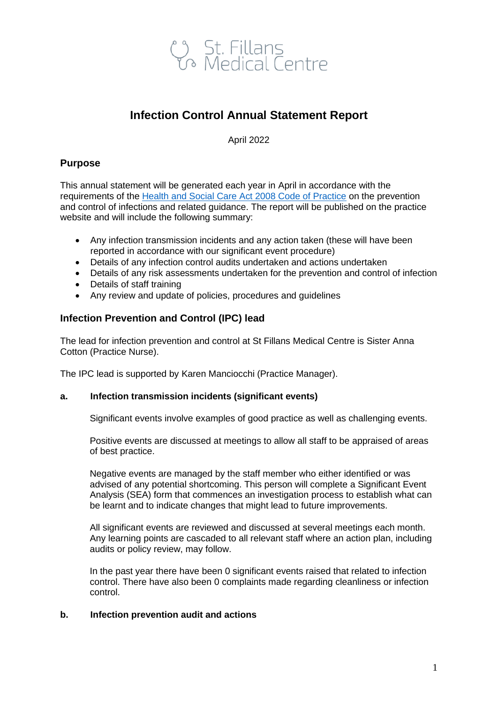

## **Infection Control Annual Statement Report**

April 2022

## **Purpose**

This annual statement will be generated each year in April in accordance with the requirements of the [Health and Social Care Act 2008 Code of Practice](https://www.gov.uk/government/publications/the-health-and-social-care-act-2008-code-of-practice-on-the-prevention-and-control-of-infections-and-related-guidance) on the prevention and control of infections and related guidance. The report will be published on the practice website and will include the following summary:

- Any infection transmission incidents and any action taken (these will have been reported in accordance with our significant event procedure)
- Details of any infection control audits undertaken and actions undertaken
- Details of any risk assessments undertaken for the prevention and control of infection
- Details of staff training
- Any review and update of policies, procedures and guidelines

### **Infection Prevention and Control (IPC) lead**

The lead for infection prevention and control at St Fillans Medical Centre is Sister Anna Cotton (Practice Nurse).

The IPC lead is supported by Karen Manciocchi (Practice Manager).

#### **a. Infection transmission incidents (significant events)**

Significant events involve examples of good practice as well as challenging events.

Positive events are discussed at meetings to allow all staff to be appraised of areas of best practice.

Negative events are managed by the staff member who either identified or was advised of any potential shortcoming. This person will complete a Significant Event Analysis (SEA) form that commences an investigation process to establish what can be learnt and to indicate changes that might lead to future improvements.

All significant events are reviewed and discussed at several meetings each month. Any learning points are cascaded to all relevant staff where an action plan, including audits or policy review, may follow.

In the past year there have been 0 significant events raised that related to infection control. There have also been 0 complaints made regarding cleanliness or infection control.

#### **b. Infection prevention audit and actions**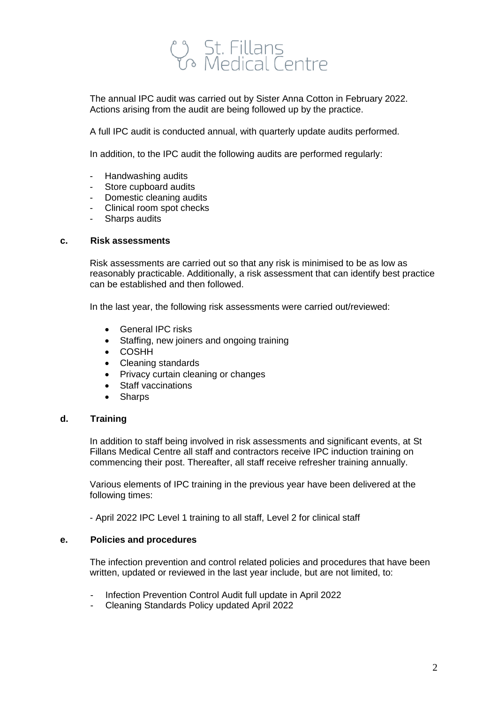# ပုံ St. Fillans<br>ဟု Medical Centre

The annual IPC audit was carried out by Sister Anna Cotton in February 2022. Actions arising from the audit are being followed up by the practice.

A full IPC audit is conducted annual, with quarterly update audits performed.

In addition, to the IPC audit the following audits are performed regularly:

- Handwashing audits
- Store cupboard audits
- Domestic cleaning audits
- Clinical room spot checks
- Sharps audits

#### **c. Risk assessments**

Risk assessments are carried out so that any risk is minimised to be as low as reasonably practicable. Additionally, a risk assessment that can identify best practice can be established and then followed.

In the last year, the following risk assessments were carried out/reviewed:

- General IPC risks
- Staffing, new joiners and ongoing training
- COSHH
- Cleaning standards
- Privacy curtain cleaning or changes
- Staff vaccinations
- Sharps

#### **d. Training**

In addition to staff being involved in risk assessments and significant events, at St Fillans Medical Centre all staff and contractors receive IPC induction training on commencing their post. Thereafter, all staff receive refresher training annually.

Various elements of IPC training in the previous year have been delivered at the following times:

- April 2022 IPC Level 1 training to all staff, Level 2 for clinical staff

#### **e. Policies and procedures**

The infection prevention and control related policies and procedures that have been written, updated or reviewed in the last year include, but are not limited, to:

- Infection Prevention Control Audit full update in April 2022
- Cleaning Standards Policy updated April 2022